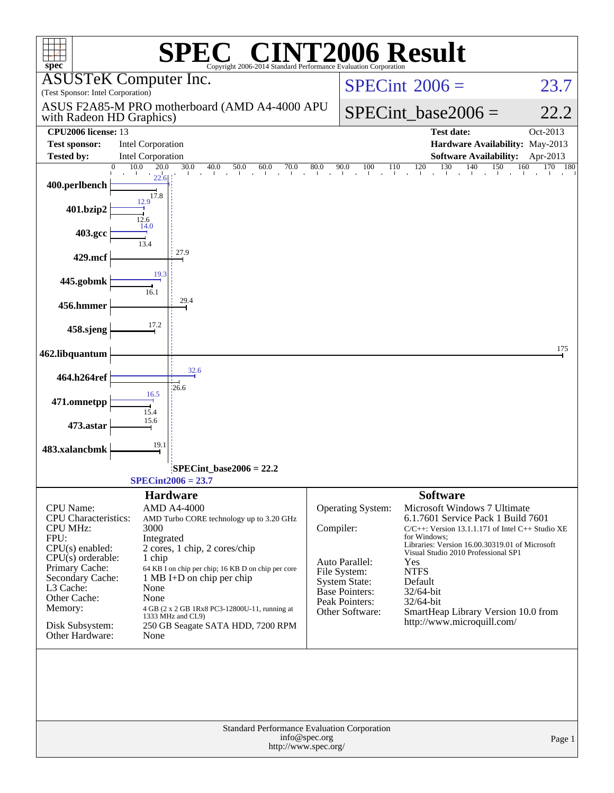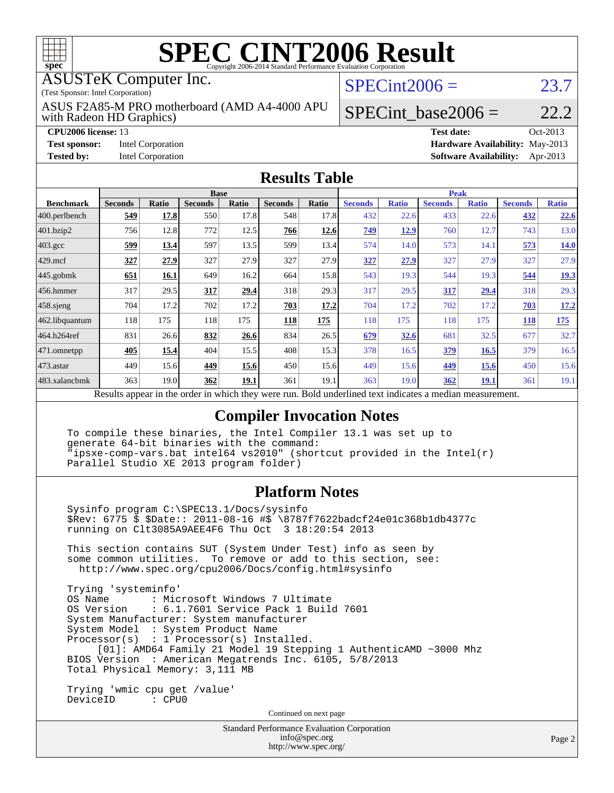

# **[SPEC CINT2006 Result](http://www.spec.org/auto/cpu2006/Docs/result-fields.html#SPECCINT2006Result)**

ASUSTeK Computer Inc.

(Test Sponsor: Intel Corporation)

with Radeon HD Graphics) ASUS F2A85-M PRO motherboard (AMD A4-4000 APU  $SPECint2006 = 23.7$  $SPECint2006 = 23.7$ 

### SPECint base2006 =  $22.2$

**[CPU2006 license:](http://www.spec.org/auto/cpu2006/Docs/result-fields.html#CPU2006license)** 13 **[Test date:](http://www.spec.org/auto/cpu2006/Docs/result-fields.html#Testdate)** Oct-2013 **[Test sponsor:](http://www.spec.org/auto/cpu2006/Docs/result-fields.html#Testsponsor)** Intel Corporation **[Hardware Availability:](http://www.spec.org/auto/cpu2006/Docs/result-fields.html#HardwareAvailability)** May-2013 **[Tested by:](http://www.spec.org/auto/cpu2006/Docs/result-fields.html#Testedby)** Intel Corporation **[Software Availability:](http://www.spec.org/auto/cpu2006/Docs/result-fields.html#SoftwareAvailability)** Apr-2013

#### **[Results Table](http://www.spec.org/auto/cpu2006/Docs/result-fields.html#ResultsTable)**

|                  | <b>Base</b>    |              |                |       |                |                           | <b>Peak</b>           |              |                |              |                |              |
|------------------|----------------|--------------|----------------|-------|----------------|---------------------------|-----------------------|--------------|----------------|--------------|----------------|--------------|
| <b>Benchmark</b> | <b>Seconds</b> | <b>Ratio</b> | <b>Seconds</b> | Ratio | <b>Seconds</b> | Ratio                     | <b>Seconds</b>        | <b>Ratio</b> | <b>Seconds</b> | <b>Ratio</b> | <b>Seconds</b> | <b>Ratio</b> |
| 400.perlbench    | 549            | 17.8         | 550            | 17.8  | 548            | 17.8                      | 432                   | 22.6         | 433            | 22.6         | 432            | <u>22.6</u>  |
| 401.bzip2        | 756            | 12.8         | 772            | 12.5  | 766            | 12.6                      | 749                   | 12.9         | 760            | 12.7         | 743            | 13.0         |
| $403.\text{gcc}$ | 599            | 13.4         | 597            | 13.5  | 599            | 13.4                      | 574                   | 14.0         | 573            | 14.1         | 573            | <b>14.0</b>  |
| $429$ .mcf       | 327            | 27.9         | 327            | 27.9  | 327            | 27.9                      | 327                   | 27.9         | 327            | 27.9         | 327            | 27.9         |
| $445$ .gobmk     | 651            | 16.1         | 649            | 16.2  | 664            | 15.8                      | 543                   | 19.3         | 544            | 19.3         | 544            | <u>19.3</u>  |
| 456.hmmer        | 317            | 29.5         | 317            | 29.4  | 318            | 29.3                      | 317                   | 29.5         | 317            | <u>29.4</u>  | 318            | 29.3         |
| $458$ .sjeng     | 704            | 17.2         | 702            | 17.2  | 703            | 17.2                      | 704                   | 17.2         | 702            | 17.2         | 703            | 17.2         |
| 462.libquantum   | 118            | 175          | 118            | 175   | 118            | 175                       | 118                   | 175          | 118            | 175          | <b>118</b>     | 175          |
| 464.h264ref      | 831            | 26.6         | 832            | 26.6  | 834            | 26.5                      | 679                   | 32.6         | 681            | 32.5         | 677            | 32.7         |
| 471.omnetpp      | 405            | 15.4         | 404            | 15.5  | 408            | 15.3                      | 378                   | 16.5         | 379            | 16.5         | 379            | 16.5         |
| $473$ . astar    | 449            | 15.6         | 449            | 15.6  | 450            | 15.6                      | 449                   | 15.6         | 449            | 15.6         | 450            | 15.6         |
| 483.xalancbmk    | 363            | 19.0         | 362            | 19.1  | 361            | 19.1                      | 363                   | 19.0         | 362            | <u>19.1</u>  | 361            | 19.1         |
| n.               | $\mathbf{1}$ . |              | $\mathbf{I}$   |       |                | $\mathbf{r}$ $\mathbf{r}$ | 1.1<br>$\blacksquare$ | $\cdot$      | $\cdot$        |              |                |              |

Results appear in the [order in which they were run.](http://www.spec.org/auto/cpu2006/Docs/result-fields.html#RunOrder) Bold underlined text [indicates a median measurement.](http://www.spec.org/auto/cpu2006/Docs/result-fields.html#Median)

### **[Compiler Invocation Notes](http://www.spec.org/auto/cpu2006/Docs/result-fields.html#CompilerInvocationNotes)**

 To compile these binaries, the Intel Compiler 13.1 was set up to generate 64-bit binaries with the command: "ipsxe-comp-vars.bat intel64 vs2010" (shortcut provided in the Intel(r) Parallel Studio XE 2013 program folder)

#### **[Platform Notes](http://www.spec.org/auto/cpu2006/Docs/result-fields.html#PlatformNotes)**

 Sysinfo program C:\SPEC13.1/Docs/sysinfo \$Rev: 6775 \$ \$Date:: 2011-08-16 #\$ \8787f7622badcf24e01c368b1db4377c running on Clt3085A9AEE4F6 Thu Oct 3 18:20:54 2013 This section contains SUT (System Under Test) info as seen by some common utilities. To remove or add to this section, see: <http://www.spec.org/cpu2006/Docs/config.html#sysinfo> Trying 'systeminfo' : Microsoft Windows 7 Ultimate OS Version : 6.1.7601 Service Pack 1 Build 7601 System Manufacturer: System manufacturer System Model : System Product Name Processor(s) : 1 Processor(s) Installed. [01]: AMD64 Family 21 Model 19 Stepping 1 AuthenticAMD ~3000 Mhz BIOS Version : American Megatrends Inc. 6105, 5/8/2013 Total Physical Memory: 3,111 MB Trying 'wmic cpu get /value' DeviceID : CPU0 Continued on next page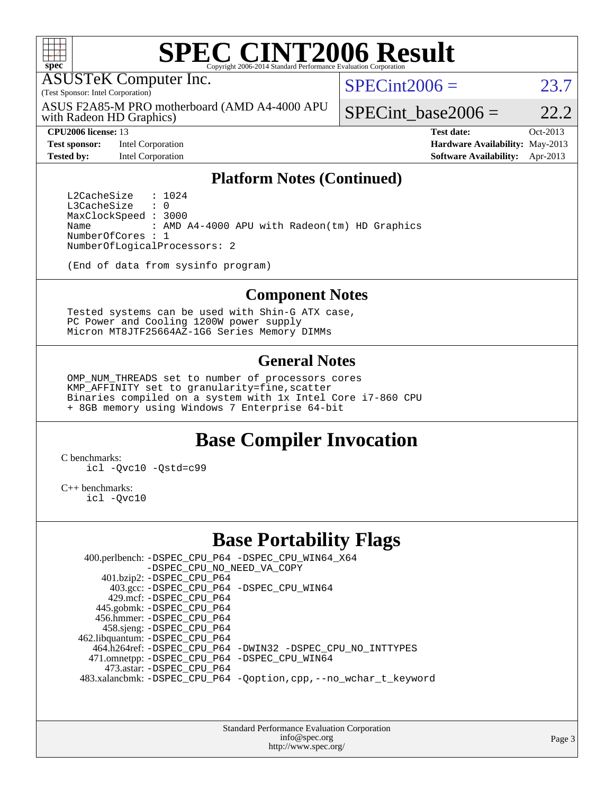

# **[SPEC CINT2006 Result](http://www.spec.org/auto/cpu2006/Docs/result-fields.html#SPECCINT2006Result)**

ASUSTeK Computer Inc.

(Test Sponsor: Intel Corporation)

with Radeon HD Graphics) ASUS F2A85-M PRO motherboard (AMD A4-4000 APU  $SPECint2006 = 23.7$  $SPECint2006 = 23.7$ 

**[Test sponsor:](http://www.spec.org/auto/cpu2006/Docs/result-fields.html#Testsponsor)** Intel Corporation **[Hardware Availability:](http://www.spec.org/auto/cpu2006/Docs/result-fields.html#HardwareAvailability)** May-2013

SPECint base2006 =  $22.2$ 

**[CPU2006 license:](http://www.spec.org/auto/cpu2006/Docs/result-fields.html#CPU2006license)** 13 **[Test date:](http://www.spec.org/auto/cpu2006/Docs/result-fields.html#Testdate)** Oct-2013 **[Tested by:](http://www.spec.org/auto/cpu2006/Docs/result-fields.html#Testedby)** Intel Corporation **[Software Availability:](http://www.spec.org/auto/cpu2006/Docs/result-fields.html#SoftwareAvailability)** Apr-2013

#### **[Platform Notes \(Continued\)](http://www.spec.org/auto/cpu2006/Docs/result-fields.html#PlatformNotes)**

L2CacheSize : 1024<br>L3CacheSize : 0 L3CacheSize MaxClockSpeed : 3000 Name : AMD A4-4000 APU with Radeon(tm) HD Graphics NumberOfCores : 1 NumberOfLogicalProcessors: 2

(End of data from sysinfo program)

#### **[Component Notes](http://www.spec.org/auto/cpu2006/Docs/result-fields.html#ComponentNotes)**

 Tested systems can be used with Shin-G ATX case, PC Power and Cooling 1200W power supply Micron MT8JTF25664AZ-1G6 Series Memory DIMMs

#### **[General Notes](http://www.spec.org/auto/cpu2006/Docs/result-fields.html#GeneralNotes)**

 OMP\_NUM\_THREADS set to number of processors cores KMP AFFINITY set to granularity=fine, scatter Binaries compiled on a system with 1x Intel Core i7-860 CPU + 8GB memory using Windows 7 Enterprise 64-bit

## **[Base Compiler Invocation](http://www.spec.org/auto/cpu2006/Docs/result-fields.html#BaseCompilerInvocation)**

[C benchmarks](http://www.spec.org/auto/cpu2006/Docs/result-fields.html#Cbenchmarks):

[icl -Qvc10](http://www.spec.org/cpu2006/results/res2014q3/cpu2006-20140630-30089.flags.html#user_CCbase_intel_icc_vc10_9607f3ecbcdf68042245f068e51b40c1) [-Qstd=c99](http://www.spec.org/cpu2006/results/res2014q3/cpu2006-20140630-30089.flags.html#user_CCbase_intel_compiler_c99_mode_1a3d110e3041b3ad4466830521bdad2a)

[C++ benchmarks:](http://www.spec.org/auto/cpu2006/Docs/result-fields.html#CXXbenchmarks)

[icl -Qvc10](http://www.spec.org/cpu2006/results/res2014q3/cpu2006-20140630-30089.flags.html#user_CXXbase_intel_icc_vc10_9607f3ecbcdf68042245f068e51b40c1)

## **[Base Portability Flags](http://www.spec.org/auto/cpu2006/Docs/result-fields.html#BasePortabilityFlags)**

 400.perlbench: [-DSPEC\\_CPU\\_P64](http://www.spec.org/cpu2006/results/res2014q3/cpu2006-20140630-30089.flags.html#b400.perlbench_basePORTABILITY_DSPEC_CPU_P64) [-DSPEC\\_CPU\\_WIN64\\_X64](http://www.spec.org/cpu2006/results/res2014q3/cpu2006-20140630-30089.flags.html#b400.perlbench_baseCPORTABILITY_DSPEC_CPU_WIN64_X64) [-DSPEC\\_CPU\\_NO\\_NEED\\_VA\\_COPY](http://www.spec.org/cpu2006/results/res2014q3/cpu2006-20140630-30089.flags.html#b400.perlbench_baseCPORTABILITY_DSPEC_CPU_NO_NEED_VA_COPY) 401.bzip2: [-DSPEC\\_CPU\\_P64](http://www.spec.org/cpu2006/results/res2014q3/cpu2006-20140630-30089.flags.html#suite_basePORTABILITY401_bzip2_DSPEC_CPU_P64) 403.gcc: [-DSPEC\\_CPU\\_P64](http://www.spec.org/cpu2006/results/res2014q3/cpu2006-20140630-30089.flags.html#suite_basePORTABILITY403_gcc_DSPEC_CPU_P64) [-DSPEC\\_CPU\\_WIN64](http://www.spec.org/cpu2006/results/res2014q3/cpu2006-20140630-30089.flags.html#b403.gcc_baseCPORTABILITY_DSPEC_CPU_WIN64) 429.mcf: [-DSPEC\\_CPU\\_P64](http://www.spec.org/cpu2006/results/res2014q3/cpu2006-20140630-30089.flags.html#suite_basePORTABILITY429_mcf_DSPEC_CPU_P64) 445.gobmk: [-DSPEC\\_CPU\\_P64](http://www.spec.org/cpu2006/results/res2014q3/cpu2006-20140630-30089.flags.html#suite_basePORTABILITY445_gobmk_DSPEC_CPU_P64) 456.hmmer: [-DSPEC\\_CPU\\_P64](http://www.spec.org/cpu2006/results/res2014q3/cpu2006-20140630-30089.flags.html#suite_basePORTABILITY456_hmmer_DSPEC_CPU_P64) 458.sjeng: [-DSPEC\\_CPU\\_P64](http://www.spec.org/cpu2006/results/res2014q3/cpu2006-20140630-30089.flags.html#suite_basePORTABILITY458_sjeng_DSPEC_CPU_P64) 462.libquantum: [-DSPEC\\_CPU\\_P64](http://www.spec.org/cpu2006/results/res2014q3/cpu2006-20140630-30089.flags.html#suite_basePORTABILITY462_libquantum_DSPEC_CPU_P64) 464.h264ref: [-DSPEC\\_CPU\\_P64](http://www.spec.org/cpu2006/results/res2014q3/cpu2006-20140630-30089.flags.html#suite_basePORTABILITY464_h264ref_DSPEC_CPU_P64) [-DWIN32](http://www.spec.org/cpu2006/results/res2014q3/cpu2006-20140630-30089.flags.html#b464.h264ref_baseCPORTABILITY_DWIN32) [-DSPEC\\_CPU\\_NO\\_INTTYPES](http://www.spec.org/cpu2006/results/res2014q3/cpu2006-20140630-30089.flags.html#b464.h264ref_baseCPORTABILITY_DSPEC_CPU_NO_INTTYPES) 471.omnetpp: [-DSPEC\\_CPU\\_P64](http://www.spec.org/cpu2006/results/res2014q3/cpu2006-20140630-30089.flags.html#suite_basePORTABILITY471_omnetpp_DSPEC_CPU_P64) [-DSPEC\\_CPU\\_WIN64](http://www.spec.org/cpu2006/results/res2014q3/cpu2006-20140630-30089.flags.html#b471.omnetpp_baseCXXPORTABILITY_DSPEC_CPU_WIN64) 473.astar: [-DSPEC\\_CPU\\_P64](http://www.spec.org/cpu2006/results/res2014q3/cpu2006-20140630-30089.flags.html#suite_basePORTABILITY473_astar_DSPEC_CPU_P64) 483.xalancbmk: [-DSPEC\\_CPU\\_P64](http://www.spec.org/cpu2006/results/res2014q3/cpu2006-20140630-30089.flags.html#suite_basePORTABILITY483_xalancbmk_DSPEC_CPU_P64) [-Qoption,cpp,--no\\_wchar\\_t\\_keyword](http://www.spec.org/cpu2006/results/res2014q3/cpu2006-20140630-30089.flags.html#user_baseCXXPORTABILITY483_xalancbmk_f-no_wchar_t_keyword_ec0ad4495a16b4e858bfcb29d949d25d)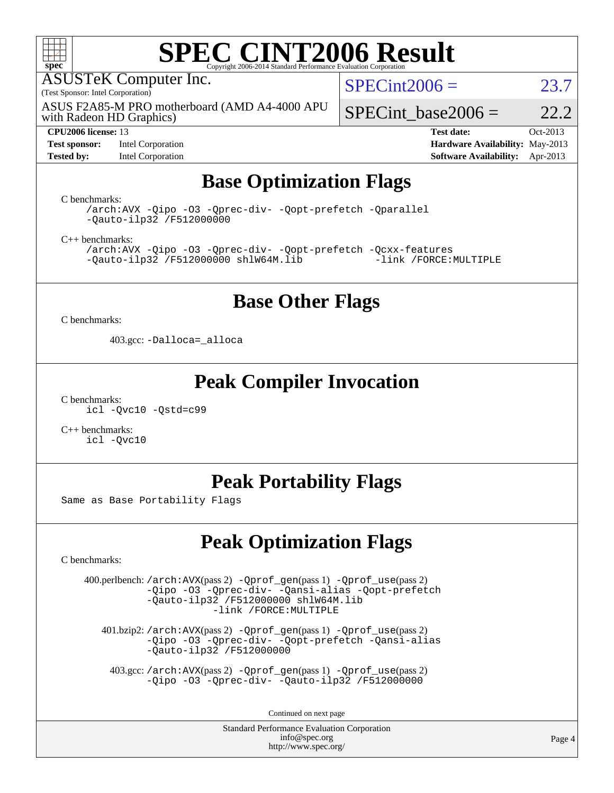

# **[SPEC CINT2006 Result](http://www.spec.org/auto/cpu2006/Docs/result-fields.html#SPECCINT2006Result)**

ASUSTeK Computer Inc.

(Test Sponsor: Intel Corporation)

ASUS F2A85-M PRO motherboard (AMD A4-4000 APU

 $SPECint2006 = 23.7$  $SPECint2006 = 23.7$ 

with Radeon HD Graphics)

**[Test sponsor:](http://www.spec.org/auto/cpu2006/Docs/result-fields.html#Testsponsor)** Intel Corporation **[Hardware Availability:](http://www.spec.org/auto/cpu2006/Docs/result-fields.html#HardwareAvailability)** May-2013

SPECint base2006 =  $22.2$ **[CPU2006 license:](http://www.spec.org/auto/cpu2006/Docs/result-fields.html#CPU2006license)** 13 **[Test date:](http://www.spec.org/auto/cpu2006/Docs/result-fields.html#Testdate)** Oct-2013

**[Tested by:](http://www.spec.org/auto/cpu2006/Docs/result-fields.html#Testedby)** Intel Corporation **[Software Availability:](http://www.spec.org/auto/cpu2006/Docs/result-fields.html#SoftwareAvailability)** Apr-2013

# **[Base Optimization Flags](http://www.spec.org/auto/cpu2006/Docs/result-fields.html#BaseOptimizationFlags)**

[C benchmarks](http://www.spec.org/auto/cpu2006/Docs/result-fields.html#Cbenchmarks):

[/arch:AVX](http://www.spec.org/cpu2006/results/res2014q3/cpu2006-20140630-30089.flags.html#user_CCbase_f-archAVX_e8ab52e15dc7c67e0682fc680b79ed94) [-Qipo](http://www.spec.org/cpu2006/results/res2014q3/cpu2006-20140630-30089.flags.html#user_CCbase_f-Qipo) [-O3](http://www.spec.org/cpu2006/results/res2014q3/cpu2006-20140630-30089.flags.html#user_CCbase_f-O3) [-Qprec-div-](http://www.spec.org/cpu2006/results/res2014q3/cpu2006-20140630-30089.flags.html#user_CCbase_f-Qprec-div-) [-Qopt-prefetch](http://www.spec.org/cpu2006/results/res2014q3/cpu2006-20140630-30089.flags.html#user_CCbase_f-Qprefetch_37c211608666b9dff9380561f602f0a8) [-Qparallel](http://www.spec.org/cpu2006/results/res2014q3/cpu2006-20140630-30089.flags.html#user_CCbase_f-Qparallel) [-Qauto-ilp32](http://www.spec.org/cpu2006/results/res2014q3/cpu2006-20140630-30089.flags.html#user_CCbase_f-Qauto-ilp32) [/F512000000](http://www.spec.org/cpu2006/results/res2014q3/cpu2006-20140630-30089.flags.html#user_CCbase_set_stack_space_98438a10eb60aa5f35f4c79d9b9b27b1)

[C++ benchmarks:](http://www.spec.org/auto/cpu2006/Docs/result-fields.html#CXXbenchmarks)

[/arch:AVX](http://www.spec.org/cpu2006/results/res2014q3/cpu2006-20140630-30089.flags.html#user_CXXbase_f-archAVX_e8ab52e15dc7c67e0682fc680b79ed94) [-Qipo](http://www.spec.org/cpu2006/results/res2014q3/cpu2006-20140630-30089.flags.html#user_CXXbase_f-Qipo) [-O3](http://www.spec.org/cpu2006/results/res2014q3/cpu2006-20140630-30089.flags.html#user_CXXbase_f-O3) [-Qprec-div-](http://www.spec.org/cpu2006/results/res2014q3/cpu2006-20140630-30089.flags.html#user_CXXbase_f-Qprec-div-) [-Qopt-prefetch](http://www.spec.org/cpu2006/results/res2014q3/cpu2006-20140630-30089.flags.html#user_CXXbase_f-Qprefetch_37c211608666b9dff9380561f602f0a8) [-Qcxx-features](http://www.spec.org/cpu2006/results/res2014q3/cpu2006-20140630-30089.flags.html#user_CXXbase_f-Qcxx_features_dbf36c8a6dba956e22f1645e4dcd4d98)  $-Qauto-ilp32$  [/F512000000](http://www.spec.org/cpu2006/results/res2014q3/cpu2006-20140630-30089.flags.html#user_CXXbase_set_stack_space_98438a10eb60aa5f35f4c79d9b9b27b1) [shlW64M.lib](http://www.spec.org/cpu2006/results/res2014q3/cpu2006-20140630-30089.flags.html#user_CXXbase_SmartHeap64_c4f7f76711bdf8c0633a5c1edf6e5396)

## **[Base Other Flags](http://www.spec.org/auto/cpu2006/Docs/result-fields.html#BaseOtherFlags)**

[C benchmarks](http://www.spec.org/auto/cpu2006/Docs/result-fields.html#Cbenchmarks):

403.gcc: [-Dalloca=\\_alloca](http://www.spec.org/cpu2006/results/res2014q3/cpu2006-20140630-30089.flags.html#b403.gcc_baseEXTRA_CFLAGS_Dalloca_be3056838c12de2578596ca5467af7f3)

### **[Peak Compiler Invocation](http://www.spec.org/auto/cpu2006/Docs/result-fields.html#PeakCompilerInvocation)**

[C benchmarks](http://www.spec.org/auto/cpu2006/Docs/result-fields.html#Cbenchmarks): [icl -Qvc10](http://www.spec.org/cpu2006/results/res2014q3/cpu2006-20140630-30089.flags.html#user_CCpeak_intel_icc_vc10_9607f3ecbcdf68042245f068e51b40c1) [-Qstd=c99](http://www.spec.org/cpu2006/results/res2014q3/cpu2006-20140630-30089.flags.html#user_CCpeak_intel_compiler_c99_mode_1a3d110e3041b3ad4466830521bdad2a)

[C++ benchmarks:](http://www.spec.org/auto/cpu2006/Docs/result-fields.html#CXXbenchmarks) [icl -Qvc10](http://www.spec.org/cpu2006/results/res2014q3/cpu2006-20140630-30089.flags.html#user_CXXpeak_intel_icc_vc10_9607f3ecbcdf68042245f068e51b40c1)

# **[Peak Portability Flags](http://www.spec.org/auto/cpu2006/Docs/result-fields.html#PeakPortabilityFlags)**

Same as Base Portability Flags

# **[Peak Optimization Flags](http://www.spec.org/auto/cpu2006/Docs/result-fields.html#PeakOptimizationFlags)**

[C benchmarks](http://www.spec.org/auto/cpu2006/Docs/result-fields.html#Cbenchmarks):

 400.perlbench: [/arch:AVX](http://www.spec.org/cpu2006/results/res2014q3/cpu2006-20140630-30089.flags.html#user_peakPASS2_CFLAGSPASS2_LDFLAGS400_perlbench_f-archAVX_e8ab52e15dc7c67e0682fc680b79ed94)(pass 2) [-Qprof\\_gen](http://www.spec.org/cpu2006/results/res2014q3/cpu2006-20140630-30089.flags.html#user_peakPASS1_CFLAGSPASS1_LDFLAGS400_perlbench_Qprof_gen)(pass 1) [-Qprof\\_use](http://www.spec.org/cpu2006/results/res2014q3/cpu2006-20140630-30089.flags.html#user_peakPASS2_CFLAGSPASS2_LDFLAGS400_perlbench_Qprof_use)(pass 2) [-Qipo](http://www.spec.org/cpu2006/results/res2014q3/cpu2006-20140630-30089.flags.html#user_peakOPTIMIZE400_perlbench_f-Qipo) [-O3](http://www.spec.org/cpu2006/results/res2014q3/cpu2006-20140630-30089.flags.html#user_peakOPTIMIZE400_perlbench_f-O3) [-Qprec-div-](http://www.spec.org/cpu2006/results/res2014q3/cpu2006-20140630-30089.flags.html#user_peakOPTIMIZE400_perlbench_f-Qprec-div-) [-Qansi-alias](http://www.spec.org/cpu2006/results/res2014q3/cpu2006-20140630-30089.flags.html#user_peakOPTIMIZE400_perlbench_f-Qansi-alias) [-Qopt-prefetch](http://www.spec.org/cpu2006/results/res2014q3/cpu2006-20140630-30089.flags.html#user_peakOPTIMIZE400_perlbench_f-Qprefetch_37c211608666b9dff9380561f602f0a8) [-Qauto-ilp32](http://www.spec.org/cpu2006/results/res2014q3/cpu2006-20140630-30089.flags.html#user_peakCOPTIMIZE400_perlbench_f-Qauto-ilp32) [/F512000000](http://www.spec.org/cpu2006/results/res2014q3/cpu2006-20140630-30089.flags.html#user_peakEXTRA_LDFLAGS400_perlbench_set_stack_space_98438a10eb60aa5f35f4c79d9b9b27b1) [shlW64M.lib](http://www.spec.org/cpu2006/results/res2014q3/cpu2006-20140630-30089.flags.html#user_peakEXTRA_LIBS400_perlbench_SmartHeap64_c4f7f76711bdf8c0633a5c1edf6e5396)  [-link /FORCE:MULTIPLE](http://www.spec.org/cpu2006/results/res2014q3/cpu2006-20140630-30089.flags.html#user_peakLDOUT400_perlbench_link_force_multiple2_070fe330869edf77077b841074b8b0b6)

 401.bzip2: [/arch:AVX](http://www.spec.org/cpu2006/results/res2014q3/cpu2006-20140630-30089.flags.html#user_peakPASS2_CFLAGSPASS2_LDFLAGS401_bzip2_f-archAVX_e8ab52e15dc7c67e0682fc680b79ed94)(pass 2) [-Qprof\\_gen](http://www.spec.org/cpu2006/results/res2014q3/cpu2006-20140630-30089.flags.html#user_peakPASS1_CFLAGSPASS1_LDFLAGS401_bzip2_Qprof_gen)(pass 1) [-Qprof\\_use](http://www.spec.org/cpu2006/results/res2014q3/cpu2006-20140630-30089.flags.html#user_peakPASS2_CFLAGSPASS2_LDFLAGS401_bzip2_Qprof_use)(pass 2) [-Qipo](http://www.spec.org/cpu2006/results/res2014q3/cpu2006-20140630-30089.flags.html#user_peakOPTIMIZE401_bzip2_f-Qipo) [-O3](http://www.spec.org/cpu2006/results/res2014q3/cpu2006-20140630-30089.flags.html#user_peakOPTIMIZE401_bzip2_f-O3) [-Qprec-div-](http://www.spec.org/cpu2006/results/res2014q3/cpu2006-20140630-30089.flags.html#user_peakOPTIMIZE401_bzip2_f-Qprec-div-) [-Qopt-prefetch](http://www.spec.org/cpu2006/results/res2014q3/cpu2006-20140630-30089.flags.html#user_peakOPTIMIZE401_bzip2_f-Qprefetch_37c211608666b9dff9380561f602f0a8) [-Qansi-alias](http://www.spec.org/cpu2006/results/res2014q3/cpu2006-20140630-30089.flags.html#user_peakOPTIMIZE401_bzip2_f-Qansi-alias) [-Qauto-ilp32](http://www.spec.org/cpu2006/results/res2014q3/cpu2006-20140630-30089.flags.html#user_peakCOPTIMIZE401_bzip2_f-Qauto-ilp32) [/F512000000](http://www.spec.org/cpu2006/results/res2014q3/cpu2006-20140630-30089.flags.html#user_peakEXTRA_LDFLAGS401_bzip2_set_stack_space_98438a10eb60aa5f35f4c79d9b9b27b1)

 403.gcc: [/arch:AVX](http://www.spec.org/cpu2006/results/res2014q3/cpu2006-20140630-30089.flags.html#user_peakPASS2_CFLAGSPASS2_LDFLAGS403_gcc_f-archAVX_e8ab52e15dc7c67e0682fc680b79ed94)(pass 2) [-Qprof\\_gen](http://www.spec.org/cpu2006/results/res2014q3/cpu2006-20140630-30089.flags.html#user_peakPASS1_CFLAGSPASS1_LDFLAGS403_gcc_Qprof_gen)(pass 1) [-Qprof\\_use](http://www.spec.org/cpu2006/results/res2014q3/cpu2006-20140630-30089.flags.html#user_peakPASS2_CFLAGSPASS2_LDFLAGS403_gcc_Qprof_use)(pass 2) [-Qipo](http://www.spec.org/cpu2006/results/res2014q3/cpu2006-20140630-30089.flags.html#user_peakOPTIMIZE403_gcc_f-Qipo) [-O3](http://www.spec.org/cpu2006/results/res2014q3/cpu2006-20140630-30089.flags.html#user_peakOPTIMIZE403_gcc_f-O3) [-Qprec-div-](http://www.spec.org/cpu2006/results/res2014q3/cpu2006-20140630-30089.flags.html#user_peakOPTIMIZE403_gcc_f-Qprec-div-) [-Qauto-ilp32](http://www.spec.org/cpu2006/results/res2014q3/cpu2006-20140630-30089.flags.html#user_peakCOPTIMIZE403_gcc_f-Qauto-ilp32) [/F512000000](http://www.spec.org/cpu2006/results/res2014q3/cpu2006-20140630-30089.flags.html#user_peakEXTRA_LDFLAGS403_gcc_set_stack_space_98438a10eb60aa5f35f4c79d9b9b27b1)

Continued on next page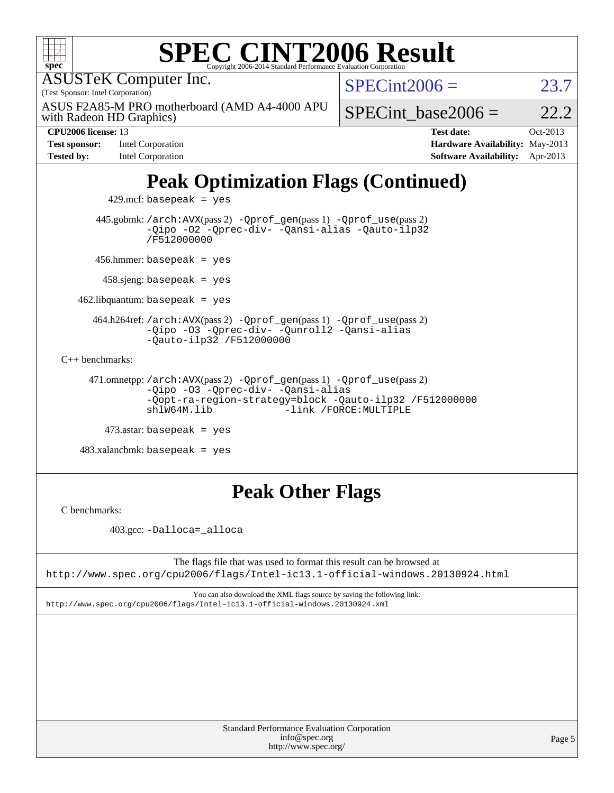| <b>SPEC CINT2006 Result</b><br>$spec^*$<br>Copyright 2006-2014 Standard Performance Evaluation Corporation                                                                           |                        |                                 |          |  |  |  |  |
|--------------------------------------------------------------------------------------------------------------------------------------------------------------------------------------|------------------------|---------------------------------|----------|--|--|--|--|
| <b>ASUSTeK Computer Inc.</b>                                                                                                                                                         |                        | $SPECint2006 =$                 |          |  |  |  |  |
| (Test Sponsor: Intel Corporation)                                                                                                                                                    |                        |                                 |          |  |  |  |  |
| ASUS F2A85-M PRO motherboard (AMD A4-4000 APU<br>with Radeon HD Graphics)                                                                                                            |                        | SPECint base2006 $=$            | 22.2     |  |  |  |  |
| CPU2006 license: 13                                                                                                                                                                  |                        | <b>Test date:</b>               | Oct-2013 |  |  |  |  |
| <b>Test sponsor:</b><br>Intel Corporation                                                                                                                                            |                        | Hardware Availability: May-2013 |          |  |  |  |  |
| <b>Tested by:</b><br><b>Intel Corporation</b>                                                                                                                                        |                        | <b>Software Availability:</b>   | Apr-2013 |  |  |  |  |
| <b>Peak Optimization Flags (Continued)</b><br>$429$ .mcf: basepeak = yes                                                                                                             |                        |                                 |          |  |  |  |  |
|                                                                                                                                                                                      |                        |                                 |          |  |  |  |  |
| 445.gobmk: /arch: AVX(pass 2) - Qprof_gen(pass 1) - Qprof_use(pass 2)<br>-Qipo -02 -Qprec-div- -Qansi-alias -Qauto-ilp32<br>/F512000000                                              |                        |                                 |          |  |  |  |  |
| 456.hmmer: basepeak = $yes$                                                                                                                                                          |                        |                                 |          |  |  |  |  |
| $458$ sjeng: basepeak = yes                                                                                                                                                          |                        |                                 |          |  |  |  |  |
| $462$ .libquantum: basepeak = yes                                                                                                                                                    |                        |                                 |          |  |  |  |  |
| 464.h264ref: /arch: AVX(pass 2) - Qprof_gen(pass 1) - Qprof_use(pass 2)<br>-Qipo -03 -Qprec-div- -Qunroll2 -Qansi-alias<br>$-$ Qauto-ilp32 /F512000000                               |                        |                                 |          |  |  |  |  |
| $C_{++}$ benchmarks:                                                                                                                                                                 |                        |                                 |          |  |  |  |  |
| 471.omnetpp://arch:AVX(pass 2) -Qprof_gen(pass 1) -Qprof_use(pass 2)<br>-Qipo -03 -Qprec-div- -Qansi-alias<br>-Qopt-ra-region-strategy=block -Qauto-ilp32 /F512000000<br>shlW64M.lib | -link /FORCE: MULTIPLE |                                 |          |  |  |  |  |
| $473$ astar: basepeak = yes                                                                                                                                                          |                        |                                 |          |  |  |  |  |
| $483.xalanchmk: basepeak = yes$                                                                                                                                                      |                        |                                 |          |  |  |  |  |

# **[Peak Other Flags](http://www.spec.org/auto/cpu2006/Docs/result-fields.html#PeakOtherFlags)**

[C benchmarks](http://www.spec.org/auto/cpu2006/Docs/result-fields.html#Cbenchmarks):

403.gcc: [-Dalloca=\\_alloca](http://www.spec.org/cpu2006/results/res2014q3/cpu2006-20140630-30089.flags.html#b403.gcc_peakEXTRA_CFLAGS_Dalloca_be3056838c12de2578596ca5467af7f3)

The flags file that was used to format this result can be browsed at <http://www.spec.org/cpu2006/flags/Intel-ic13.1-official-windows.20130924.html>

You can also download the XML flags source by saving the following link: <http://www.spec.org/cpu2006/flags/Intel-ic13.1-official-windows.20130924.xml>